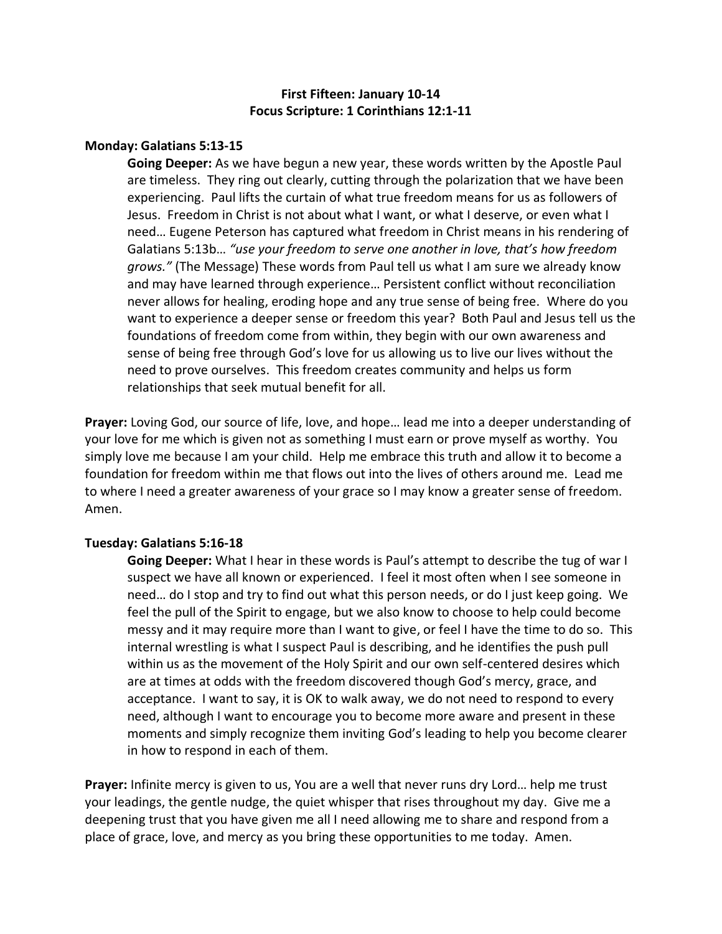# **First Fifteen: January 10-14 Focus Scripture: 1 Corinthians 12:1-11**

### **Monday: Galatians 5:13-15**

**Going Deeper:** As we have begun a new year, these words written by the Apostle Paul are timeless. They ring out clearly, cutting through the polarization that we have been experiencing. Paul lifts the curtain of what true freedom means for us as followers of Jesus. Freedom in Christ is not about what I want, or what I deserve, or even what I need… Eugene Peterson has captured what freedom in Christ means in his rendering of Galatians 5:13b… *"use your freedom to serve one another in love, that's how freedom grows."* (The Message) These words from Paul tell us what I am sure we already know and may have learned through experience… Persistent conflict without reconciliation never allows for healing, eroding hope and any true sense of being free. Where do you want to experience a deeper sense or freedom this year? Both Paul and Jesus tell us the foundations of freedom come from within, they begin with our own awareness and sense of being free through God's love for us allowing us to live our lives without the need to prove ourselves. This freedom creates community and helps us form relationships that seek mutual benefit for all.

**Prayer:** Loving God, our source of life, love, and hope… lead me into a deeper understanding of your love for me which is given not as something I must earn or prove myself as worthy. You simply love me because I am your child. Help me embrace this truth and allow it to become a foundation for freedom within me that flows out into the lives of others around me. Lead me to where I need a greater awareness of your grace so I may know a greater sense of freedom. Amen.

#### **Tuesday: Galatians 5:16-18**

**Going Deeper:** What I hear in these words is Paul's attempt to describe the tug of war I suspect we have all known or experienced. I feel it most often when I see someone in need… do I stop and try to find out what this person needs, or do I just keep going. We feel the pull of the Spirit to engage, but we also know to choose to help could become messy and it may require more than I want to give, or feel I have the time to do so. This internal wrestling is what I suspect Paul is describing, and he identifies the push pull within us as the movement of the Holy Spirit and our own self-centered desires which are at times at odds with the freedom discovered though God's mercy, grace, and acceptance. I want to say, it is OK to walk away, we do not need to respond to every need, although I want to encourage you to become more aware and present in these moments and simply recognize them inviting God's leading to help you become clearer in how to respond in each of them.

**Prayer:** Infinite mercy is given to us, You are a well that never runs dry Lord… help me trust your leadings, the gentle nudge, the quiet whisper that rises throughout my day. Give me a deepening trust that you have given me all I need allowing me to share and respond from a place of grace, love, and mercy as you bring these opportunities to me today. Amen.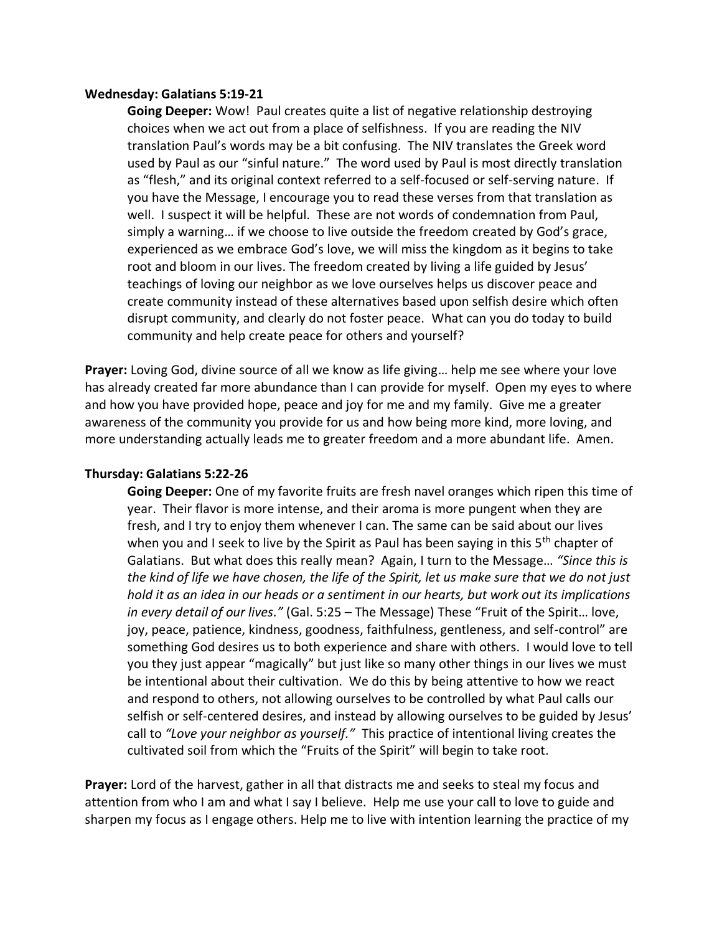### **Wednesday: Galatians 5:19-21**

**Going Deeper:** Wow! Paul creates quite a list of negative relationship destroying choices when we act out from a place of selfishness. If you are reading the NIV translation Paul's words may be a bit confusing. The NIV translates the Greek word used by Paul as our "sinful nature." The word used by Paul is most directly translation as "flesh," and its original context referred to a self-focused or self-serving nature. If you have the Message, I encourage you to read these verses from that translation as well. I suspect it will be helpful. These are not words of condemnation from Paul, simply a warning… if we choose to live outside the freedom created by God's grace, experienced as we embrace God's love, we will miss the kingdom as it begins to take root and bloom in our lives. The freedom created by living a life guided by Jesus' teachings of loving our neighbor as we love ourselves helps us discover peace and create community instead of these alternatives based upon selfish desire which often disrupt community, and clearly do not foster peace. What can you do today to build community and help create peace for others and yourself?

**Prayer:** Loving God, divine source of all we know as life giving… help me see where your love has already created far more abundance than I can provide for myself. Open my eyes to where and how you have provided hope, peace and joy for me and my family. Give me a greater awareness of the community you provide for us and how being more kind, more loving, and more understanding actually leads me to greater freedom and a more abundant life. Amen.

### **Thursday: Galatians 5:22-26**

**Going Deeper:** One of my favorite fruits are fresh navel oranges which ripen this time of year. Their flavor is more intense, and their aroma is more pungent when they are fresh, and I try to enjoy them whenever I can. The same can be said about our lives when you and I seek to live by the Spirit as Paul has been saying in this 5<sup>th</sup> chapter of Galatians. But what does this really mean? Again, I turn to the Message… *"Since this is the kind of life we have chosen, the life of the Spirit, let us make sure that we do not just hold it as an idea in our heads or a sentiment in our hearts, but work out its implications in every detail of our lives."* (Gal. 5:25 – The Message) These "Fruit of the Spirit… love, joy, peace, patience, kindness, goodness, faithfulness, gentleness, and self-control" are something God desires us to both experience and share with others. I would love to tell you they just appear "magically" but just like so many other things in our lives we must be intentional about their cultivation. We do this by being attentive to how we react and respond to others, not allowing ourselves to be controlled by what Paul calls our selfish or self-centered desires, and instead by allowing ourselves to be guided by Jesus' call to *"Love your neighbor as yourself."* This practice of intentional living creates the cultivated soil from which the "Fruits of the Spirit" will begin to take root.

**Prayer:** Lord of the harvest, gather in all that distracts me and seeks to steal my focus and attention from who I am and what I say I believe. Help me use your call to love to guide and sharpen my focus as I engage others. Help me to live with intention learning the practice of my